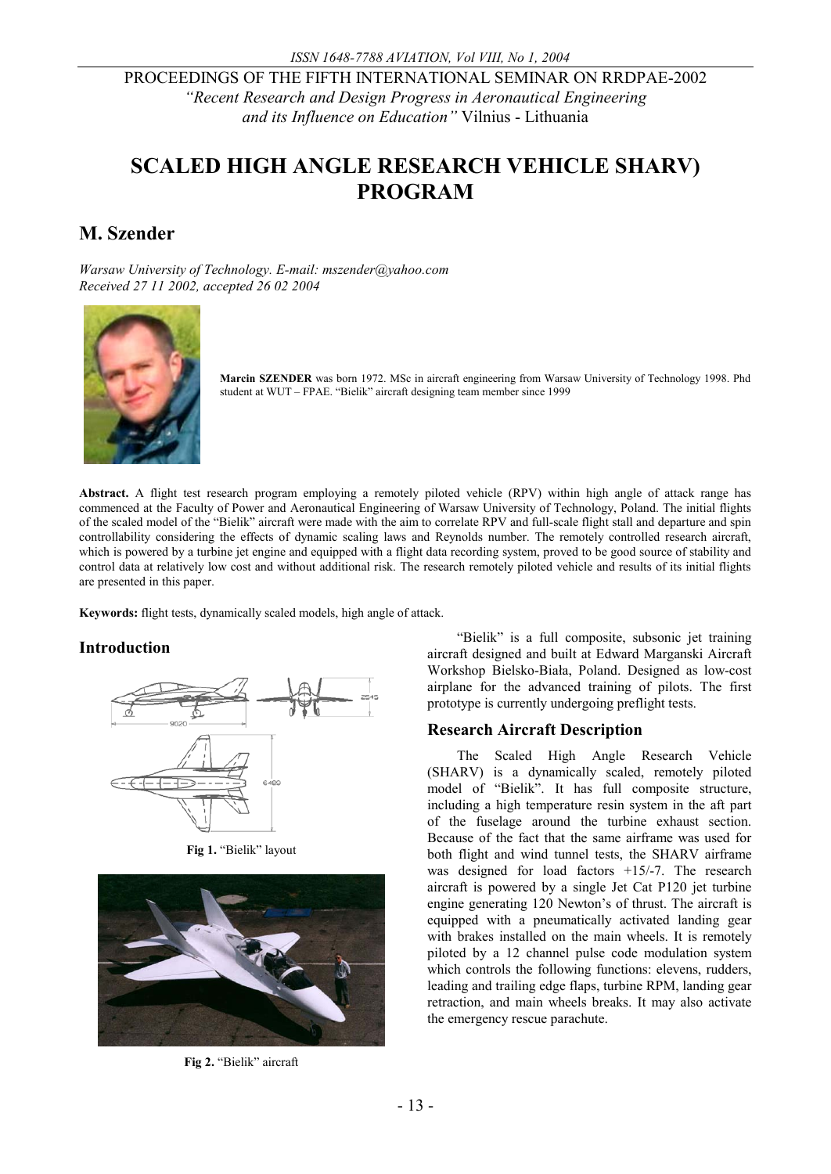*and its Influence on Education"* Vilnius - Lithuania

# **SCALED HIGH ANGLE RESEARCH VEHICLE SHARV) PROGRAM**

# **M. Szender**

*Warsaw University of Technology. E-mail: mszender@yahoo.com Received 27 11 2002, accepted 26 02 2004* 



**Marcin SZENDER** was born 1972. MSc in aircraft engineering from Warsaw University of Technology 1998. Phd student at WUT – FPAE. "Bielik" aircraft designing team member since 1999

**Abstract.** A flight test research program employing a remotely piloted vehicle (RPV) within high angle of attack range has commenced at the Faculty of Power and Aeronautical Engineering of Warsaw University of Technology, Poland. The initial flights of the scaled model of the "Bielik" aircraft were made with the aim to correlate RPV and full-scale flight stall and departure and spin controllability considering the effects of dynamic scaling laws and Reynolds number. The remotely controlled research aircraft, which is powered by a turbine jet engine and equipped with a flight data recording system, proved to be good source of stability and control data at relatively low cost and without additional risk. The research remotely piloted vehicle and results of its initial flights are presented in this paper.

**Keywords:** flight tests, dynamically scaled models, high angle of attack.

# **Introduction**



**Fig 1.** "Bielik" layout



**Fig 2.** "Bielik" aircraft

"Bielik" is a full composite, subsonic jet training aircraft designed and built at Edward Marganski Aircraft Workshop Bielsko-Biała, Poland. Designed as low-cost airplane for the advanced training of pilots. The first prototype is currently undergoing preflight tests.

# **Research Aircraft Description**

The Scaled High Angle Research Vehicle (SHARV) is a dynamically scaled, remotely piloted model of "Bielik". It has full composite structure, including a high temperature resin system in the aft part of the fuselage around the turbine exhaust section. Because of the fact that the same airframe was used for both flight and wind tunnel tests, the SHARV airframe was designed for load factors +15/-7. The research aircraft is powered by a single Jet Cat P120 jet turbine engine generating 120 Newton's of thrust. The aircraft is equipped with a pneumatically activated landing gear with brakes installed on the main wheels. It is remotely piloted by a 12 channel pulse code modulation system which controls the following functions: elevens, rudders, leading and trailing edge flaps, turbine RPM, landing gear retraction, and main wheels breaks. It may also activate the emergency rescue parachute.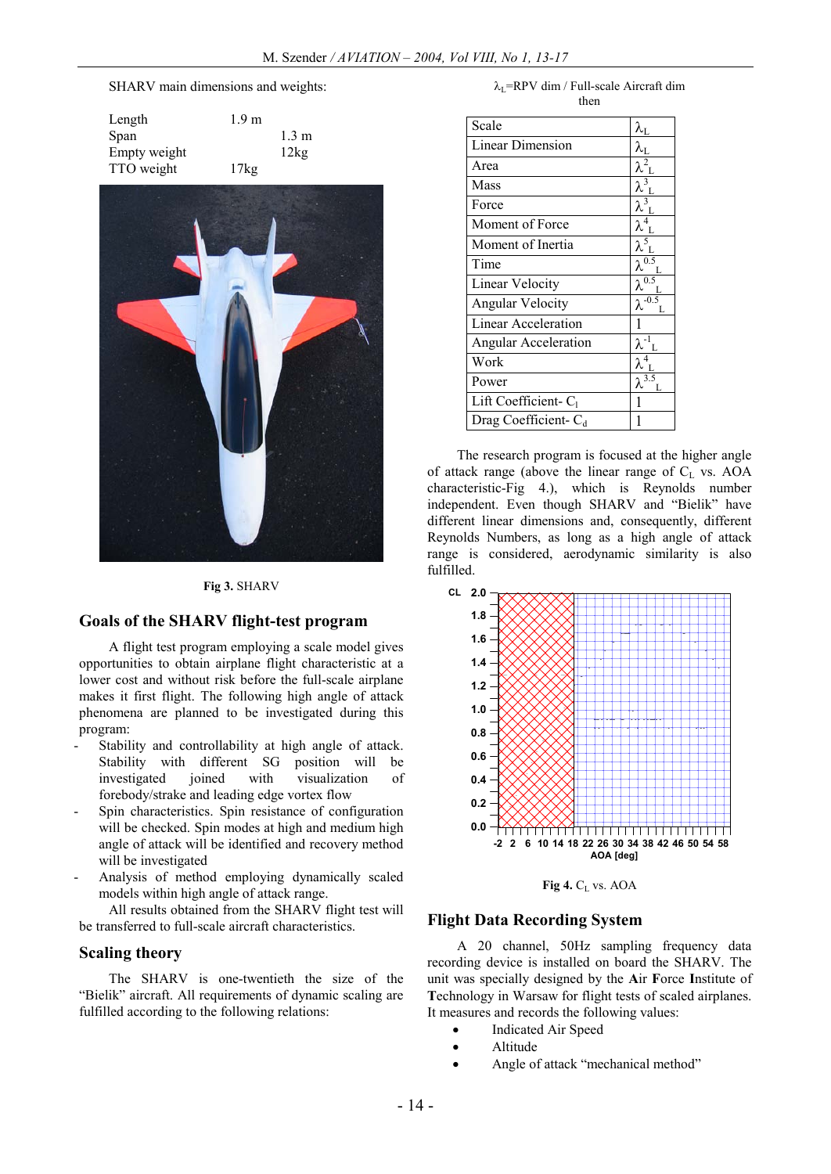#### SHARV main dimensions and weights:

| Length       | 1.9 <sub>m</sub> |                 |
|--------------|------------------|-----------------|
| Span         |                  | $1.3 \text{ m}$ |
| Empty weight |                  | 12kg            |
| TTO weight   | $17\text{kg}$    |                 |



#### **Fig 3.** SHARV

#### **Goals of the SHARV flight-test program**

A flight test program employing a scale model gives opportunities to obtain airplane flight characteristic at a lower cost and without risk before the full-scale airplane makes it first flight. The following high angle of attack phenomena are planned to be investigated during this program:

- Stability and controllability at high angle of attack. Stability with different SG position will be investigated joined with visualization of forebody/strake and leading edge vortex flow
- Spin characteristics. Spin resistance of configuration will be checked. Spin modes at high and medium high angle of attack will be identified and recovery method will be investigated
- Analysis of method employing dynamically scaled models within high angle of attack range.

All results obtained from the SHARV flight test will be transferred to full-scale aircraft characteristics.

#### **Scaling theory**

The SHARV is one-twentieth the size of the "Bielik" aircraft. All requirements of dynamic scaling are fulfilled according to the following relations:

 $\lambda_I$ =RPV dim / Full-scale Aircraft dim then

| Scale                   | $\lambda_{\rm L}$          |
|-------------------------|----------------------------|
| <b>Linear Dimension</b> |                            |
| Area                    |                            |
| Mass                    |                            |
| Force                   |                            |
| Moment of Force         |                            |
| Moment of Inertia       |                            |
| Time                    |                            |
| <b>Linear Velocity</b>  | $\lambda^{\overline{0.5}}$ |
| <b>Angular Velocity</b> | $\lambda^{-0.5}$           |
| Linear Acceleration     |                            |
| Angular Acceleration    |                            |
| Work                    |                            |
| Power                   |                            |
| Lift Coefficient-C      |                            |
| Drag Coefficient- $C_d$ |                            |
|                         |                            |

The research program is focused at the higher angle of attack range (above the linear range of  $C_L$  vs. AOA characteristic-Fig 4.), which is Reynolds number independent. Even though SHARV and "Bielik" have different linear dimensions and, consequently, different Reynolds Numbers, as long as a high angle of attack range is considered, aerodynamic similarity is also fulfilled.



Fig 4. C<sub>L</sub> vs. AOA

### **Flight Data Recording System**

A 20 channel, 50Hz sampling frequency data recording device is installed on board the SHARV. The unit was specially designed by the **A**ir **F**orce **I**nstitute of **T**echnology in Warsaw for flight tests of scaled airplanes. It measures and records the following values:

- Indicated Air Speed
- · Altitude
- Angle of attack "mechanical method"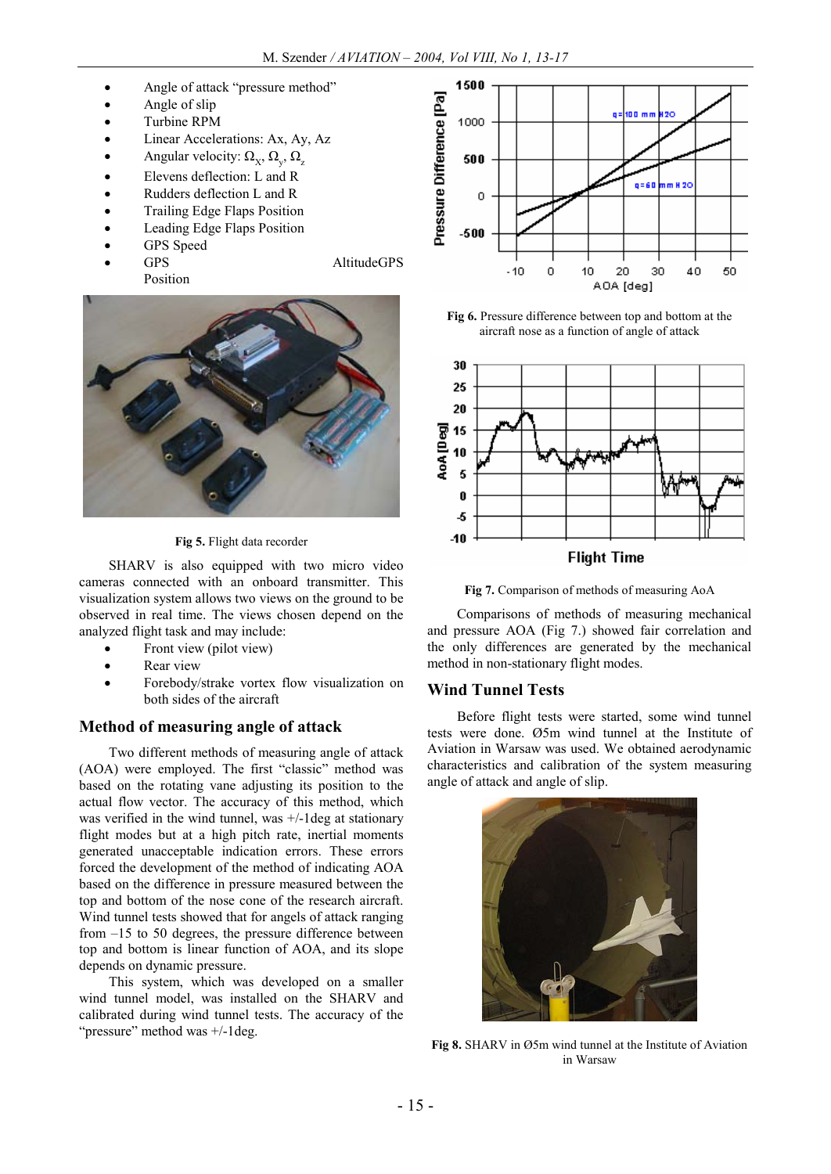- Angle of attack "pressure method"
- Angle of slip
- Turbine RPM
- Linear Accelerations: Ax, Ay, Az
- Angular velocity:  $\Omega_X$ ,  $\Omega_y$ ,  $\Omega_z$
- Elevens deflection: L and R
- · Rudders deflection L and R
- · Trailing Edge Flaps Position
- Leading Edge Flaps Position
- GPS Speed
- Position

GPS AltitudeGPS



**Fig 5.** Flight data recorder

SHARV is also equipped with two micro video cameras connected with an onboard transmitter. This visualization system allows two views on the ground to be observed in real time. The views chosen depend on the analyzed flight task and may include:

- Front view (pilot view)
- Rear view
- · Forebody/strake vortex flow visualization on both sides of the aircraft

# **Method of measuring angle of attack**

Two different methods of measuring angle of attack (AOA) were employed. The first "classic" method was based on the rotating vane adjusting its position to the actual flow vector. The accuracy of this method, which was verified in the wind tunnel, was +/-1deg at stationary flight modes but at a high pitch rate, inertial moments generated unacceptable indication errors. These errors forced the development of the method of indicating AOA based on the difference in pressure measured between the top and bottom of the nose cone of the research aircraft. Wind tunnel tests showed that for angels of attack ranging from –15 to 50 degrees, the pressure difference between top and bottom is linear function of AOA, and its slope depends on dynamic pressure.

This system, which was developed on a smaller wind tunnel model, was installed on the SHARV and calibrated during wind tunnel tests. The accuracy of the "pressure" method was +/-1deg.



**Fig 6.** Pressure difference between top and bottom at the aircraft nose as a function of angle of attack



**Fig 7.** Comparison of methods of measuring AoA

Comparisons of methods of measuring mechanical and pressure AOA (Fig 7.) showed fair correlation and the only differences are generated by the mechanical method in non-stationary flight modes.

# **Wind Tunnel Tests**

Before flight tests were started, some wind tunnel tests were done. Ø5m wind tunnel at the Institute of Aviation in Warsaw was used. We obtained aerodynamic characteristics and calibration of the system measuring angle of attack and angle of slip.



**Fig 8.** SHARV in Ø5m wind tunnel at the Institute of Aviation in Warsaw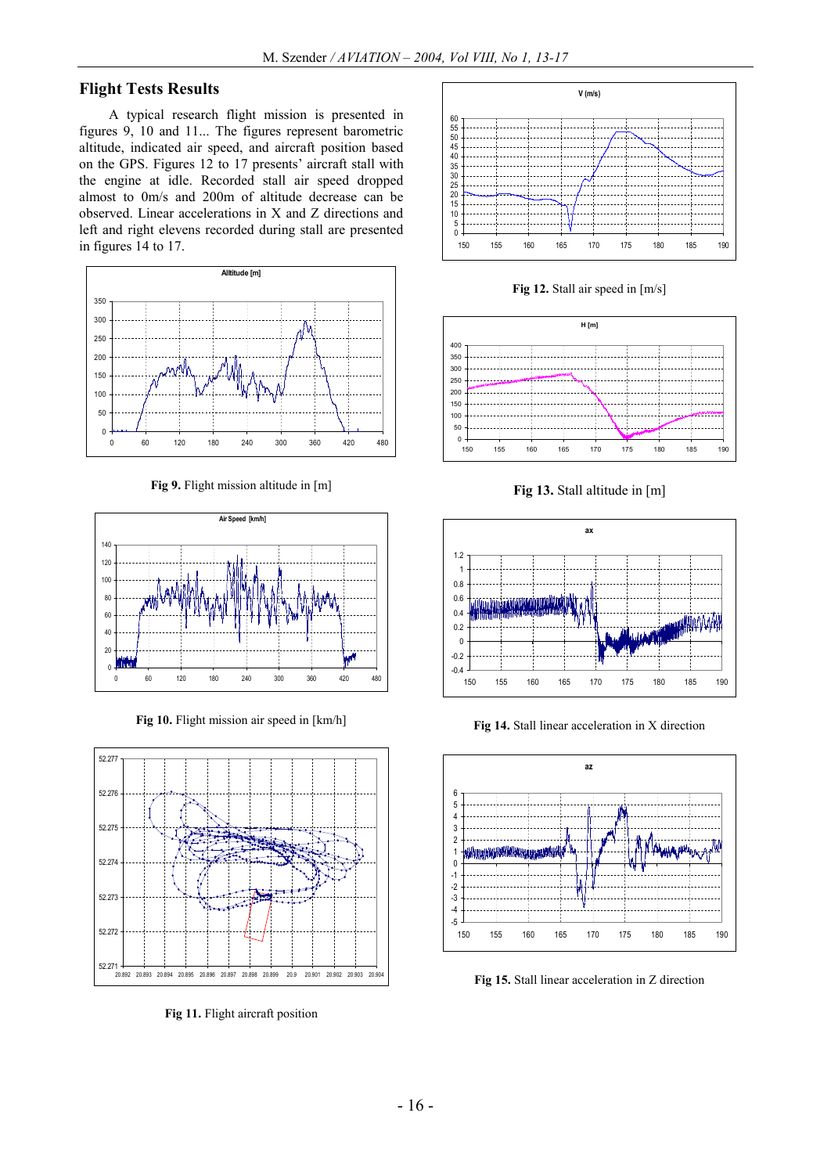# **Flight Tests Results**

A typical research flight mission is presented in figures 9, 10 and 11... The figures represent barometric altitude, indicated air speed, and aircraft position based on the GPS. Figures 12 to 17 presents' aircraft stall with the engine at idle. Recorded stall air speed dropped almost to 0m/s and 200m of altitude decrease can be observed. Linear accelerations in X and Z directions and left and right elevens recorded during stall are presented in figures 14 to 17.



**Fig 9.** Flight mission altitude in [m]



**Fig 10.** Flight mission air speed in [km/h]



**Fig 11.** Flight aircraft position



**Fig 12.** Stall air speed in [m/s]



**Fig 13.** Stall altitude in [m]



**Fig 14.** Stall linear acceleration in X direction



**Fig 15.** Stall linear acceleration in Z direction